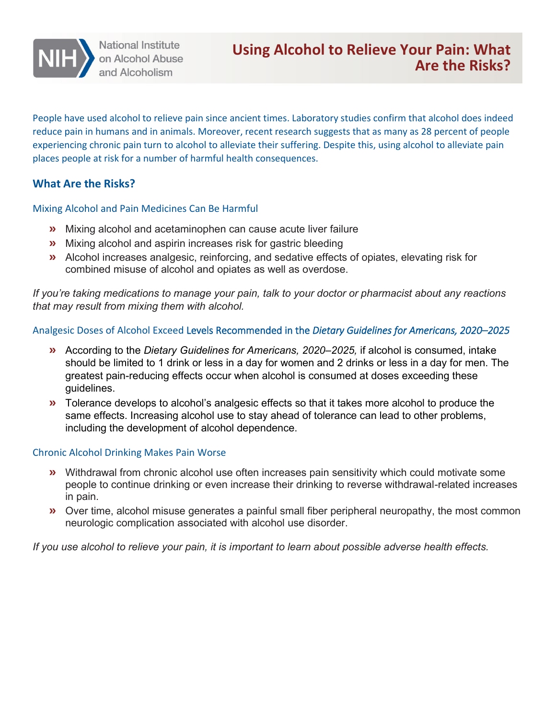

People have used alcohol to relieve pain since ancient times. Laboratory studies confirm that alcohol does indeed reduce pain in humans and in animals. Moreover, recent research suggests that as many as 28 percent of people experiencing chronic pain turn to alcohol to alleviate their suffering. Despite this, using alcohol to alleviate pain places people at risk for a number of harmful health consequences.

## **What Are the Risks?**

Mixing Alcohol and Pain Medicines Can Be Harmful

- **»** Mixing alcohol and acetaminophen can cause acute liver failure
- **»** Mixing alcohol and aspirin increases risk for gastric bleeding
- **»** Alcohol increases analgesic, reinforcing, and sedative effects of opiates, elevating risk for combined misuse of alcohol and opiates as well as overdose.

*If you're taking medications to manage your pain, talk to your doctor or pharmacist about any reactions that may result from mixing them with alcohol.* 

## Analgesic Doses of Alcohol Exceed Levels Recommended in the *Dietary Guidelines for Americans, 2020–2025*

- **»** According to the *Dietary Guidelines for Americans, 2020–2025,* if alcohol is consumed, intake should be limited to 1 drink or less in a day for women and 2 drinks or less in a day for men. The greatest pain-reducing effects occur when alcohol is consumed at doses exceeding these guidelines.
- **»** Tolerance develops to alcohol's analgesic effects so that it takes more alcohol to produce the same effects. Increasing alcohol use to stay ahead of tolerance can lead to other problems, including the development of alcohol dependence.

## Chronic Alcohol Drinking Makes Pain Worse

- **»** Withdrawal from chronic alcohol use often increases pain sensitivity which could motivate some people to continue drinking or even increase their drinking to reverse withdrawal-related increases in pain.
- **»** Over time, alcohol misuse generates a painful small fiber peripheral neuropathy, the most common neurologic complication associated with alcohol use disorder.

*If you use alcohol to relieve your pain, it is important to learn about possible adverse health effects.*